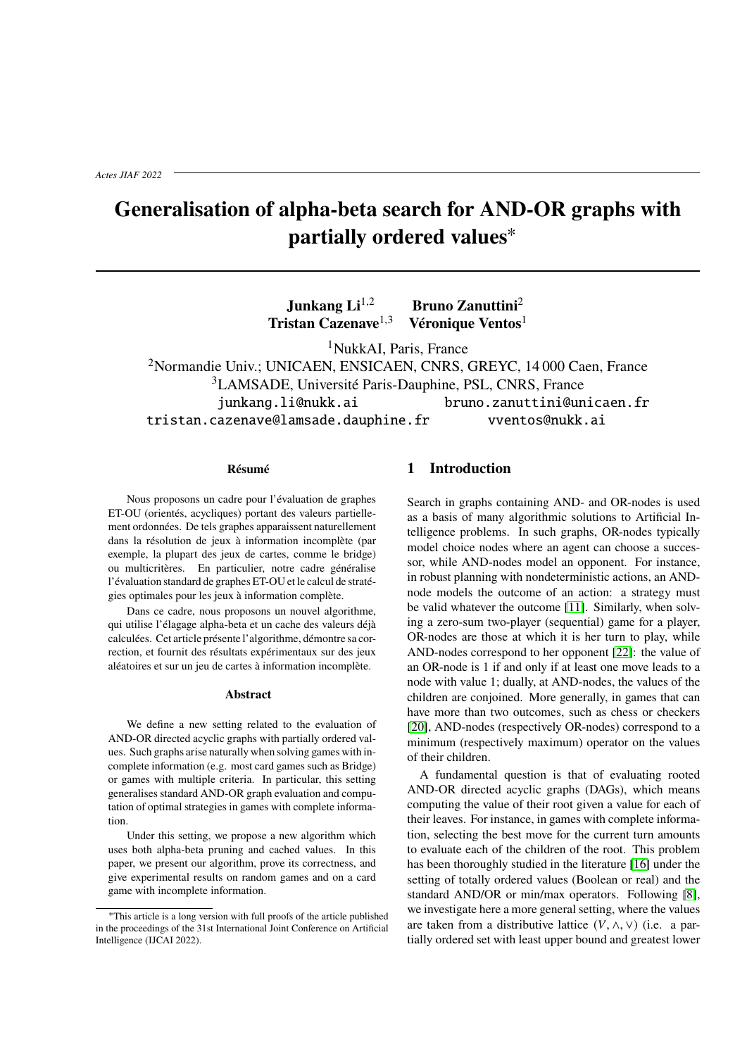# **Generalisation of alpha-beta search for AND-OR graphs with partially ordered values**<sup>∗</sup>

**Junkang Li**<sup>1,2</sup> **Bruno Zanuttini**<sup>2</sup> **Tristan Cazenave**1,<sup>3</sup> **Véronique Ventos**<sup>1</sup>

<sup>1</sup>NukkAI, Paris, France

<sup>2</sup>Normandie Univ.; UNICAEN, ENSICAEN, CNRS, GREYC, 14 000 Caen, France <sup>3</sup>LAMSADE, Université Paris-Dauphine, PSL, CNRS, France junkang.li@nukk.ai bruno.zanuttini@unicaen.fr tristan.cazenave@lamsade.dauphine.fr vventos@nukk.ai

#### **Résumé**

Nous proposons un cadre pour l'évaluation de graphes ET-OU (orientés, acycliques) portant des valeurs partiellement ordonnées. De tels graphes apparaissent naturellement dans la résolution de jeux à information incomplète (par exemple, la plupart des jeux de cartes, comme le bridge) ou multicritères. En particulier, notre cadre généralise l'évaluation standard de graphes ET-OU et le calcul de stratégies optimales pour les jeux à information complète.

Dans ce cadre, nous proposons un nouvel algorithme, qui utilise l'élagage alpha-beta et un cache des valeurs déjà calculées. Cet article présente l'algorithme, démontre sa correction, et fournit des résultats expérimentaux sur des jeux aléatoires et sur un jeu de cartes à information incomplète.

#### **Abstract**

We define a new setting related to the evaluation of AND-OR directed acyclic graphs with partially ordered values. Such graphs arise naturally when solving games with incomplete information (e.g. most card games such as Bridge) or games with multiple criteria. In particular, this setting generalises standard AND-OR graph evaluation and computation of optimal strategies in games with complete information.

Under this setting, we propose a new algorithm which uses both alpha-beta pruning and cached values. In this paper, we present our algorithm, prove its correctness, and give experimental results on random games and on a card game with incomplete information.

### **1 Introduction**

Search in graphs containing AND- and OR-nodes is used as a basis of many algorithmic solutions to Artificial Intelligence problems. In such graphs, OR-nodes typically model choice nodes where an agent can choose a successor, while AND-nodes model an opponent. For instance, in robust planning with nondeterministic actions, an ANDnode models the outcome of an action: a strategy must be valid whatever the outcome [\[11\]](#page-10-0). Similarly, when solving a zero-sum two-player (sequential) game for a player, OR-nodes are those at which it is her turn to play, while AND-nodes correspond to her opponent [\[22\]](#page-10-1): the value of an OR-node is 1 if and only if at least one move leads to a node with value 1; dually, at AND-nodes, the values of the children are conjoined. More generally, in games that can have more than two outcomes, such as chess or checkers [\[20\]](#page-10-2), AND-nodes (respectively OR-nodes) correspond to a minimum (respectively maximum) operator on the values of their children.

A fundamental question is that of evaluating rooted AND-OR directed acyclic graphs (DAGs), which means computing the value of their root given a value for each of their leaves. For instance, in games with complete information, selecting the best move for the current turn amounts to evaluate each of the children of the root. This problem has been thoroughly studied in the literature [\[16\]](#page-10-3) under the setting of totally ordered values (Boolean or real) and the standard AND/OR or min/max operators. Following [\[8\]](#page-9-0), we investigate here a more general setting, where the values are taken from a distributive lattice  $(V, \wedge, \vee)$  (i.e. a partially ordered set with least upper bound and greatest lower

<sup>∗</sup>This article is a long version with full proofs of the article published in the proceedings of the 31st International Joint Conference on Artificial Intelligence (IJCAI 2022).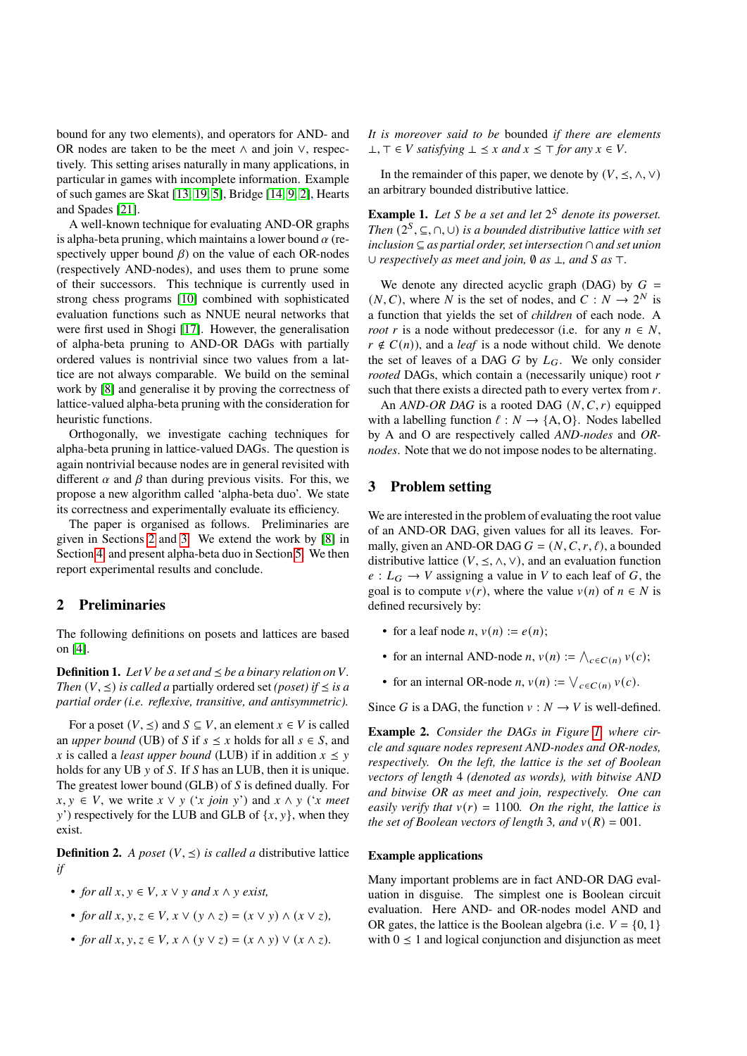bound for any two elements), and operators for AND- and OR nodes are taken to be the meet ∧ and join ∨, respectively. This setting arises naturally in many applications, in particular in games with incomplete information. Example of such games are Skat [\[13,](#page-10-4) [19,](#page-10-5) [5\]](#page-9-1), Bridge [\[14,](#page-10-6) [9,](#page-10-7) [2\]](#page-9-2), Hearts and Spades [\[21\]](#page-10-8).

A well-known technique for evaluating AND-OR graphs is alpha-beta pruning, which maintains a lower bound  $\alpha$  (respectively upper bound  $\beta$ ) on the value of each OR-nodes (respectively AND-nodes), and uses them to prune some of their successors. This technique is currently used in strong chess programs [\[10\]](#page-10-9) combined with sophisticated evaluation functions such as NNUE neural networks that were first used in Shogi [\[17\]](#page-10-10). However, the generalisation of alpha-beta pruning to AND-OR DAGs with partially ordered values is nontrivial since two values from a lattice are not always comparable. We build on the seminal work by [\[8\]](#page-9-0) and generalise it by proving the correctness of lattice-valued alpha-beta pruning with the consideration for heuristic functions.

Orthogonally, we investigate caching techniques for alpha-beta pruning in lattice-valued DAGs. The question is again nontrivial because nodes are in general revisited with different  $\alpha$  and  $\beta$  than during previous visits. For this, we propose a new algorithm called 'alpha-beta duo'. We state its correctness and experimentally evaluate its efficiency.

The paper is organised as follows. Preliminaries are given in Sections [2](#page-1-0) and [3.](#page-1-1) We extend the work by [\[8\]](#page-9-0) in Section [4,](#page-2-0) and present alpha-beta duo in Section [5.](#page-4-0) We then report experimental results and conclude.

# <span id="page-1-0"></span>**2 Preliminaries**

The following definitions on posets and lattices are based on [\[4\]](#page-9-3).

**Definition 1.** Let *V* be a set and  $\leq$  be a binary relation on *V*. *Then*  $(V, \leq)$  *is called a* partially ordered set *(poset) if*  $\leq$  *is a partial order (i.e. reflexive, transitive, and antisymmetric).*

For a poset  $(V, \leq)$  and  $S \subseteq V$ , an element  $x \in V$  is called an *upper bound* (UB) of S if  $s \leq x$  holds for all  $s \in S$ , and x is called a *least upper bound* (LUB) if in addition  $x \le y$ holds for any UB  $y$  of S. If S has an LUB, then it is unique. The greatest lower bound  $(GLB)$  of  $S$  is defined dually. For  $x, y \in V$ , we write  $x \lor y$  ('*x join*  $y$ ') and  $x \land y$  ('*x meet*  $y'$ ) respectively for the LUB and GLB of  $\{x, y\}$ , when they exist.

**Definition 2.** *A poset*  $(V, \leq)$  *is called a* distributive lattice *if*

- *for all*  $x, y \in V$ ,  $x \vee y$  *and*  $x \wedge y$  *exist,*
- *for all*  $x, y, z \in V$ ,  $x \vee (y \wedge z) = (x \vee y) \wedge (x \vee z)$ ,
- *for all*  $x, y, z \in V$ ,  $x \wedge (y \vee z) = (x \wedge y) \vee (x \wedge z)$ .

*It is moreover said to be* bounded *if there are elements* ⊥,  $\top \in V$  *satisfying*  $\bot \leq x$  *and*  $x \leq \top$  *for any*  $x \in V$ .

In the remainder of this paper, we denote by  $(V, \leq, \wedge, \vee)$ an arbitrary bounded distributive lattice.

**Example 1.** Let *S* be a set and let  $2<sup>S</sup>$  denote its powerset. *Then*  $(2^S, ⊆, ∩, ∪)$  *is a bounded distributive lattice with set inclusion* ⊆ *as partial order, set intersection* ∩ *and set union* ∪ *respectively as meet and join,* ∅ *as* ⊥*, and as* ⊤*.*

We denote any directed acyclic graph (DAG) by  $G =$  $(N, C)$ , where N is the set of nodes, and  $C : N \rightarrow 2^N$  is a function that yields the set of *children* of each node. A *root r* is a node without predecessor (i.e. for any  $n \in N$ ,  $r \notin C(n)$ , and a *leaf* is a node without child. We denote the set of leaves of a DAG  $G$  by  $L_G$ . We only consider *rooted* DAGs, which contain a (necessarily unique) root r such that there exists a directed path to every vertex from  $r$ .

An  $AND-OR$  DAG is a rooted DAG  $(N, C, r)$  equipped with a labelling function  $\ell : N \to \{A, O\}$ . Nodes labelled by A and O are respectively called *AND-nodes* and *ORnodes*. Note that we do not impose nodes to be alternating.

# <span id="page-1-1"></span>**3 Problem setting**

We are interested in the problem of evaluating the root value of an AND-OR DAG, given values for all its leaves. Formally, given an AND-OR DAG  $G = (N, C, r, \ell)$ , a bounded distributive lattice ( $V, \leq, \wedge, \vee$ ), and an evaluation function  $e: L_G \to V$  assigning a value in V to each leaf of G, the goal is to compute  $v(r)$ , where the value  $v(n)$  of  $n \in N$  is defined recursively by:

- for a leaf node *n*,  $v(n) := e(n)$ ;
- for an internal AND-node  $n, v(n) := \bigwedge_{c \in C(n)} v(c)$ ;
- for an internal OR-node *n*,  $v(n) := \bigvee_{c \in C(n)} v(c)$ .

Since G is a DAG, the function  $v : N \to V$  is well-defined.

**Example 2.** *Consider the DAGs in Figure [1,](#page-2-1) where circle and square nodes represent AND-nodes and OR-nodes, respectively. On the left, the lattice is the set of Boolean vectors of length* 4 *(denoted as words), with bitwise AND and bitwise OR as meet and join, respectively. One can easily verify that*  $v(r) = 1100$ *. On the right, the lattice is the set of Boolean vectors of length* 3*, and*  $v(R) = 001$ *.* 

#### **Example applications**

Many important problems are in fact AND-OR DAG evaluation in disguise. The simplest one is Boolean circuit evaluation. Here AND- and OR-nodes model AND and OR gates, the lattice is the Boolean algebra (i.e.  $V = \{0, 1\}$ ) with  $0 \leq 1$  and logical conjunction and disjunction as meet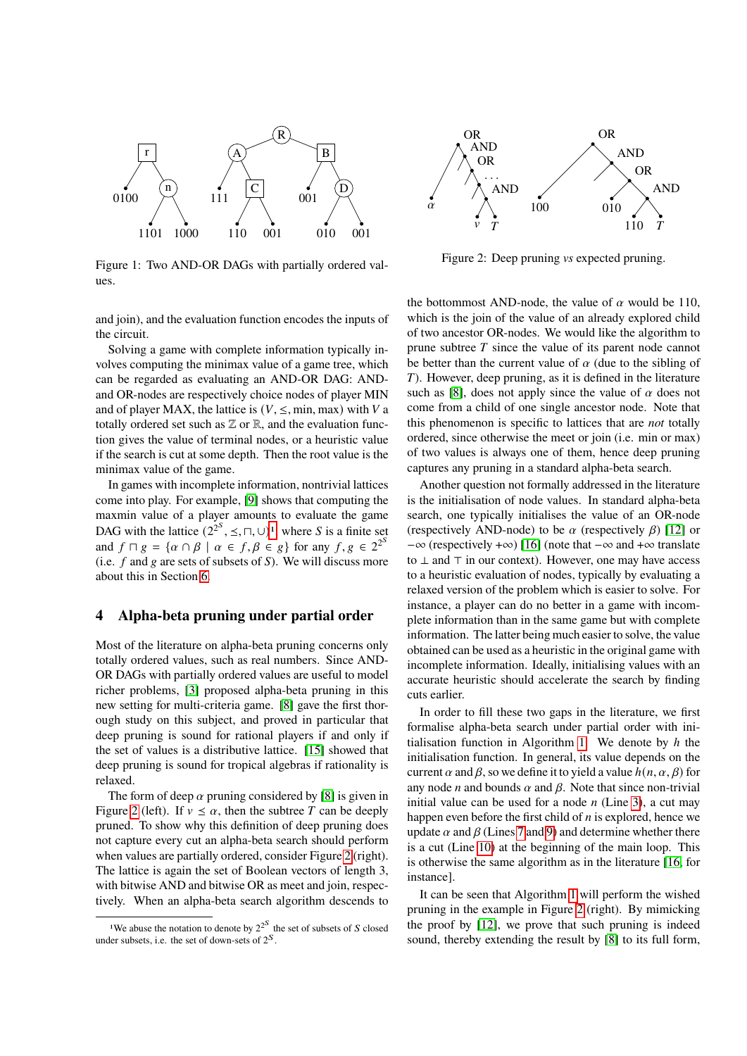

<span id="page-2-1"></span>Figure 1: Two AND-OR DAGs with partially ordered values.

and join), and the evaluation function encodes the inputs of the circuit.

Solving a game with complete information typically involves computing the minimax value of a game tree, which can be regarded as evaluating an AND-OR DAG: ANDand OR-nodes are respectively choice nodes of player MIN and of player MAX, the lattice is  $(V, \leq, min, max)$  with V a totally ordered set such as  $\mathbb Z$  or  $\mathbb R$ , and the evaluation function gives the value of terminal nodes, or a heuristic value if the search is cut at some depth. Then the root value is the minimax value of the game.

In games with incomplete information, nontrivial lattices come into play. For example, [\[9\]](#page-10-7) shows that computing the maxmin value of a player amounts to evaluate the game DAG with the lattice  $(2^{2^S}, \leq, \sqcap, \cup)^1$  $(2^{2^S}, \leq, \sqcap, \cup)^1$ , where S is a finite set and  $f \sqcap g = \{ \alpha \cap \beta \mid \alpha \in f, \beta \in g \}$  for any  $f, g \in 2^2$ (i.e.  $f$  and  $g$  are sets of subsets of  $S$ ). We will discuss more about this in Section [6.](#page-7-0)

#### <span id="page-2-0"></span>**4 Alpha-beta pruning under partial order**

Most of the literature on alpha-beta pruning concerns only totally ordered values, such as real numbers. Since AND-OR DAGs with partially ordered values are useful to model richer problems, [\[3\]](#page-9-4) proposed alpha-beta pruning in this new setting for multi-criteria game. [\[8\]](#page-9-0) gave the first thorough study on this subject, and proved in particular that deep pruning is sound for rational players if and only if the set of values is a distributive lattice. [\[15\]](#page-10-11) showed that deep pruning is sound for tropical algebras if rationality is relaxed.

The form of deep  $\alpha$  pruning considered by [\[8\]](#page-9-0) is given in Figure [2](#page-2-3) (left). If  $v \le \alpha$ , then the subtree T can be deeply pruned. To show why this definition of deep pruning does not capture every cut an alpha-beta search should perform when values are partially ordered, consider Figure [2](#page-2-3) (right). The lattice is again the set of Boolean vectors of length 3, with bitwise AND and bitwise OR as meet and join, respectively. When an alpha-beta search algorithm descends to



<span id="page-2-3"></span>Figure 2: Deep pruning *vs* expected pruning.

the bottommost AND-node, the value of  $\alpha$  would be 110. which is the join of the value of an already explored child of two ancestor OR-nodes. We would like the algorithm to prune subtree  $T$  since the value of its parent node cannot be better than the current value of  $\alpha$  (due to the sibling of ). However, deep pruning, as it is defined in the literature such as [\[8\]](#page-9-0), does not apply since the value of  $\alpha$  does not come from a child of one single ancestor node. Note that this phenomenon is specific to lattices that are *not* totally ordered, since otherwise the meet or join (i.e. min or max) of two values is always one of them, hence deep pruning captures any pruning in a standard alpha-beta search.

Another question not formally addressed in the literature is the initialisation of node values. In standard alpha-beta search, one typically initialises the value of an OR-node (respectively AND-node) to be  $\alpha$  (respectively  $\beta$ ) [\[12\]](#page-10-12) or −∞ (respectively +∞) [\[16\]](#page-10-3) (note that −∞ and +∞ translate to ⊥ and ⊤ in our context). However, one may have access to a heuristic evaluation of nodes, typically by evaluating a relaxed version of the problem which is easier to solve. For instance, a player can do no better in a game with incomplete information than in the same game but with complete information. The latter being much easier to solve, the value obtained can be used as a heuristic in the original game with incomplete information. Ideally, initialising values with an accurate heuristic should accelerate the search by finding cuts earlier.

In order to fill these two gaps in the literature, we first formalise alpha-beta search under partial order with ini-tialisation function in Algorithm [1.](#page-3-0) We denote by  $h$  the initialisation function. In general, its value depends on the current  $\alpha$  and  $\beta$ , so we define it to yield a value  $h(n, \alpha, \beta)$  for any node *n* and bounds  $\alpha$  and  $\beta$ . Note that since non-trivial initial value can be used for a node  $n$  (Line [3\)](#page-3-1), a cut may happen even before the first child of  $n$  is explored, hence we update  $\alpha$  and  $\beta$  (Lines [7](#page-3-2) and [9\)](#page-3-3) and determine whether there is a cut (Line [10\)](#page-3-4) at the beginning of the main loop. This is otherwise the same algorithm as in the literature [\[16,](#page-10-3) for instance].

It can be seen that Algorithm [1](#page-3-0) will perform the wished pruning in the example in Figure [2](#page-2-3) (right). By mimicking the proof by [\[12\]](#page-10-12), we prove that such pruning is indeed sound, thereby extending the result by [\[8\]](#page-9-0) to its full form,

<span id="page-2-2"></span><sup>&</sup>lt;sup>1</sup>We abuse the notation to denote by  $2^{2^S}$  the set of subsets of S closed under subsets, i.e. the set of down-sets of  $2^S$ .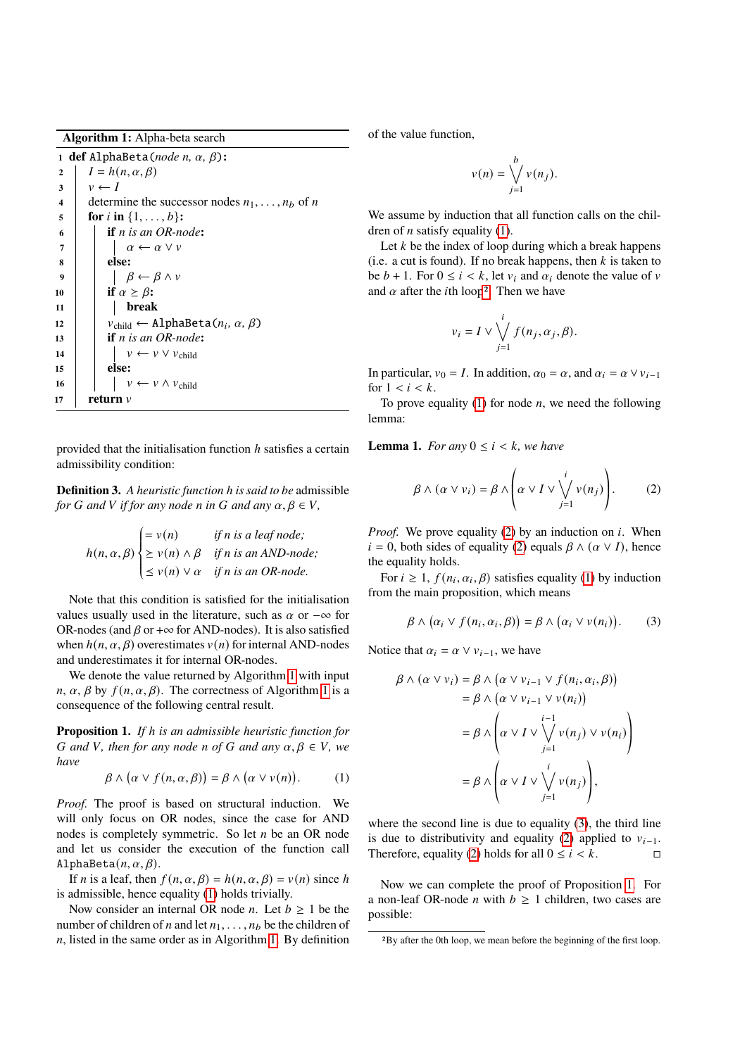**Algorithm 1:** Alpha-beta search

<span id="page-3-4"></span><span id="page-3-3"></span><span id="page-3-2"></span><span id="page-3-1"></span><span id="page-3-0"></span>**def** AlphaBeta(*node*  $n$ ,  $\alpha$ ,  $\beta$ ):  $I = h(n, \alpha, \beta)$  $3 \mid v \leftarrow I$  determine the successor nodes  $n_1, \ldots, n_b$  of n  $\mathbf{5}$  **for** *i* in  $\{1, \ldots, b\}$ : **if** *is an OR-node***:**  $\begin{array}{ccc} \mid & \mid & \alpha \leftarrow \alpha \vee \nu \end{array}$ **8 else:**  $\beta \leftarrow \beta \wedge v$ **if**  $\alpha \geq \beta$ : **11 break**  $v_{child} \leftarrow \text{AlphaBeta}(n_i, \alpha, \beta)$  **if** *is an OR-node***:**  $\vert \vert \vert \vert \vert \nu \leftarrow \nu \vee \nu_{\text{child}}$ **15 else:**  $\vert \vert \vert \vert \vert \vee \leftarrow \nu \wedge \nu_{\text{child}}$ **return**  $\nu$ 

provided that the initialisation function  $h$  satisfies a certain admissibility condition:

**Definition 3.** *A heuristic function* ℎ *is said to be* admissible *for G* and *V if for any* node *n* in *G* and any  $\alpha, \beta \in V$ ,

$$
h(n, \alpha, \beta) \begin{cases} = v(n) & \text{if } n \text{ is a leaf node;} \\ \ge v(n) \land \beta & \text{if } n \text{ is an AND-node;} \\ \le v(n) \lor \alpha & \text{if } n \text{ is an OR-node.} \end{cases}
$$

J.

Note that this condition is satisfied for the initialisation values usually used in the literature, such as  $\alpha$  or  $-\infty$  for OR-nodes (and  $\beta$  or + $\infty$  for AND-nodes). It is also satisfied when  $h(n, \alpha, \beta)$  overestimates  $v(n)$  for internal AND-nodes and underestimates it for internal OR-nodes.

We denote the value returned by Algorithm [1](#page-3-0) with input  $n, \alpha, \beta$  by  $f(n, \alpha, \beta)$ . The correctness of Algorithm [1](#page-3-0) is a consequence of the following central result.

<span id="page-3-9"></span>**Proposition 1.** *If h is an admissible heuristic function for G* and *V*, then for any node *n* of *G* and any  $\alpha, \beta \in V$ , we *have*

<span id="page-3-5"></span>
$$
\beta \wedge (\alpha \vee f(n, \alpha, \beta)) = \beta \wedge (\alpha \vee v(n)). \tag{1}
$$

*Proof.* The proof is based on structural induction. We will only focus on OR nodes, since the case for AND nodes is completely symmetric. So let  $n$  be an OR node and let us consider the execution of the function call AlphaBeta $(n, \alpha, \beta)$ .

If *n* is a leaf, then  $f(n, \alpha, \beta) = h(n, \alpha, \beta) = v(n)$  since h is admissible, hence equality [\(1\)](#page-3-5) holds trivially.

Now consider an internal OR node *n*. Let  $b \ge 1$  be the number of children of *n* and let  $n_1, \ldots, n_b$  be the children of  $n$ , listed in the same order as in Algorithm [1.](#page-3-0) By definition of the value function,

$$
v(n) = \bigvee_{j=1}^{b} v(n_j).
$$

We assume by induction that all function calls on the children of *n* satisfy equality  $(1)$ .

Let  $k$  be the index of loop during which a break happens (i.e. a cut is found). If no break happens, then  $k$  is taken to be  $b + 1$ . For  $0 \le i \le k$ , let  $v_i$  and  $\alpha_i$  denote the value of v and  $\alpha$  after the *i*th loop<sup>[2](#page-3-6)</sup>. Then we have

$$
v_i = I \vee \bigvee_{j=1}^i f(n_j, \alpha_j, \beta).
$$

In particular,  $v_0 = I$ . In addition,  $\alpha_0 = \alpha$ , and  $\alpha_i = \alpha \vee v_{i-1}$ for  $1 < i < k$ .

To prove equality [\(1\)](#page-3-5) for node  $n$ , we need the following lemma:

**Lemma 1.** *For any*  $0 \le i \le k$ *, we have* 

<span id="page-3-7"></span>
$$
\beta \wedge (\alpha \vee v_i) = \beta \wedge \left( \alpha \vee I \vee \bigvee_{j=1}^{i} v(n_j) \right). \tag{2}
$$

*Proof.* We prove equality [\(2\)](#page-3-7) by an induction on  $i$ . When  $i = 0$ , both sides of equality [\(2\)](#page-3-7) equals  $\beta \wedge (\alpha \vee I)$ , hence the equality holds.

For  $i \geq 1$ ,  $f(n_i, \alpha_i, \beta)$  satisfies equality [\(1\)](#page-3-5) by induction from the main proposition, which means

<span id="page-3-8"></span>
$$
\beta \wedge (\alpha_i \vee f(n_i, \alpha_i, \beta)) = \beta \wedge (\alpha_i \vee v(n_i)). \tag{3}
$$

Notice that  $\alpha_i = \alpha \vee \nu_{i-1}$ , we have

$$
\beta \wedge (\alpha \vee v_i) = \beta \wedge (\alpha \vee v_{i-1} \vee f(n_i, \alpha_i, \beta))
$$
  
=  $\beta \wedge (\alpha \vee v_{i-1} \vee v(n_i))$   
=  $\beta \wedge \left( \alpha \vee I \vee \bigvee_{j=1}^{i-1} v(n_j) \vee v(n_i) \right)$   
=  $\beta \wedge \left( \alpha \vee I \vee \bigvee_{j=1}^{i} v(n_j) \right),$ 

where the second line is due to equality [\(3\)](#page-3-8), the third line is due to distributivity and equality [\(2\)](#page-3-7) applied to  $v_{i-1}$ . Therefore, equality [\(2\)](#page-3-7) holds for all  $0 \le i \le k$ .

Now we can complete the proof of Proposition [1.](#page-3-9) For a non-leaf OR-node *n* with  $b \ge 1$  children, two cases are possible:

<span id="page-3-6"></span><sup>2</sup>By after the 0th loop, we mean before the beginning of the first loop.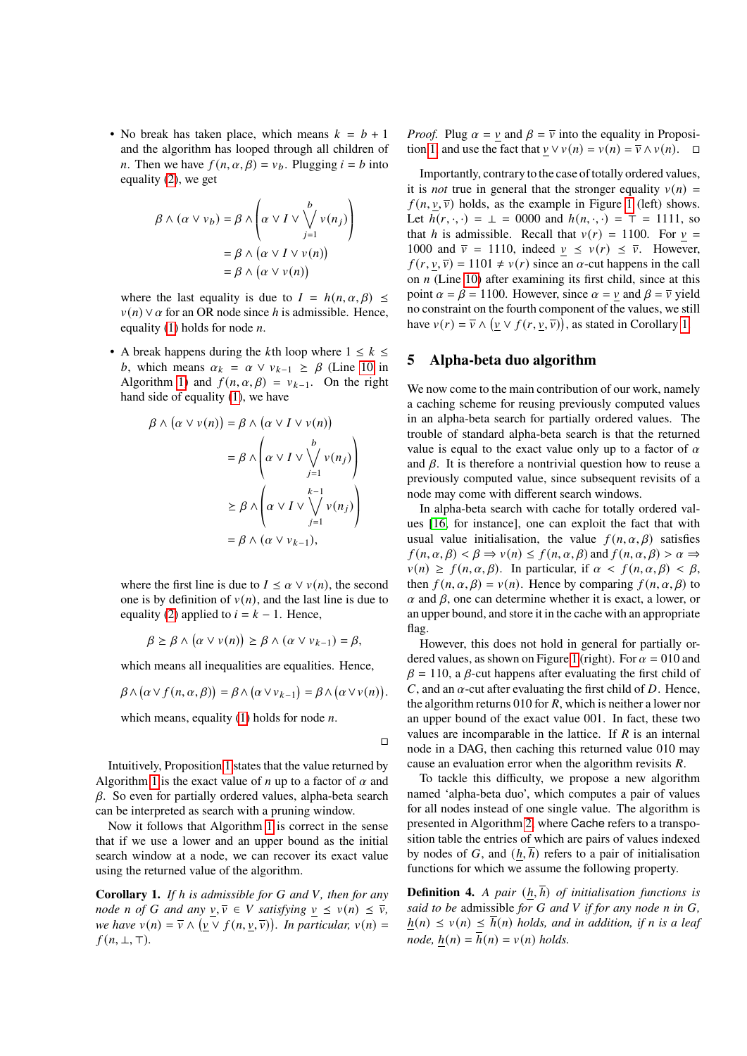• No break has taken place, which means  $k = b + 1$ and the algorithm has looped through all children of *n*. Then we have  $f(n, \alpha, \beta) = v_b$ . Plugging  $i = b$  into equality [\(2\)](#page-3-7), we get

$$
\beta \wedge (\alpha \vee v_b) = \beta \wedge \left(\alpha \vee I \vee \bigvee_{j=1}^{b} v(n_j)\right)
$$

$$
= \beta \wedge (\alpha \vee I \vee v(n))
$$

$$
= \beta \wedge (\alpha \vee v(n))
$$

where the last equality is due to  $I = h(n, \alpha, \beta) \leq$  $v(n) \vee \alpha$  for an OR node since h is admissible. Hence, equality [\(1\)](#page-3-5) holds for node  $n$ .

• A break happens during the kth loop where  $1 \leq k \leq$ b, which means  $\alpha_k = \alpha \vee \nu_{k-1} \geq \beta$  (Line [10](#page-3-4) in Algorithm [1\)](#page-3-0) and  $f(n, \alpha, \beta) = v_{k-1}$ . On the right hand side of equality [\(1\)](#page-3-5), we have

$$
\beta \wedge (\alpha \vee v(n)) = \beta \wedge (\alpha \vee I \vee v(n))
$$
  
=  $\beta \wedge \left(\alpha \vee I \vee \bigvee_{j=1}^{b} v(n_j)\right)$   

$$
\geq \beta \wedge \left(\alpha \vee I \vee \bigvee_{j=1}^{k-1} v(n_j)\right)
$$
  
=  $\beta \wedge (\alpha \vee v_{k-1}),$ 

where the first line is due to  $I \leq \alpha \vee v(n)$ , the second one is by definition of  $v(n)$ , and the last line is due to equality [\(2\)](#page-3-7) applied to  $i = k - 1$ . Hence,

$$
\beta \geq \beta \wedge (\alpha \vee v(n)) \geq \beta \wedge (\alpha \vee v_{k-1}) = \beta,
$$

which means all inequalities are equalities. Hence,

$$
\beta \wedge (\alpha \vee f(n, \alpha, \beta)) = \beta \wedge (\alpha \vee v_{k-1}) = \beta \wedge (\alpha \vee v(n)).
$$

which means, equality  $(1)$  holds for node *n*.

Intuitively, Proposition [1](#page-3-9) states that the value returned by Algorithm [1](#page-3-0) is the exact value of *n* up to a factor of  $\alpha$  and  $\beta$ . So even for partially ordered values, alpha-beta search can be interpreted as search with a pruning window.

Now it follows that Algorithm [1](#page-3-0) is correct in the sense that if we use a lower and an upper bound as the initial search window at a node, we can recover its exact value using the returned value of the algorithm.

<span id="page-4-1"></span>**Corollary 1.** *If h* is admissible for G and V, then for any *node n* of *G* and any  $\underline{v}, \overline{v} \in V$  satisfying  $\underline{v} \leq v(n) \leq \overline{v}$ , *we have*  $v(n) = \overline{v} \wedge (v \vee f(n, v, \overline{v}))$ . In particular,  $v(n) =$  $f(n, \perp, \perp)$ .

*Proof.* Plug  $\alpha = v$  and  $\beta = \overline{v}$  into the equality in Proposi-tion [1,](#page-3-9) and use the fact that  $v \vee v(n) = v(n) = \overline{v} \wedge v(n)$ .  $\Box$ 

Importantly, contrary to the case of totally ordered values, it is *not* true in general that the stronger equality  $v(n)$  =  $f(n, v, \overline{v})$  holds, as the example in Figure [1](#page-2-1) (left) shows. Let  $h(r, \cdot, \cdot) = \bot = 0000$  and  $h(n, \cdot, \cdot) = \top = 1111$ , so that h is admissible. Recall that  $v(r) = 1100$ . For  $v =$ 1000 and  $\overline{v} = 1110$ , indeed  $v \le v(r) \le \overline{v}$ . However,  $f(r, v, \overline{v}) = 1101 \neq v(r)$  since an  $\alpha$ -cut happens in the call on  $n$  (Line [10\)](#page-3-4) after examining its first child, since at this point  $\alpha = \beta = 1100$ . However, since  $\alpha = v$  and  $\beta = \overline{v}$  yield no constraint on the fourth component of the values, we still have  $v(r) = \overline{v} \wedge (\underline{v} \vee f(r, \underline{v}, \overline{v}))$ , as stated in Corollary [1.](#page-4-1)

#### <span id="page-4-0"></span>**5 Alpha-beta duo algorithm**

We now come to the main contribution of our work, namely a caching scheme for reusing previously computed values in an alpha-beta search for partially ordered values. The trouble of standard alpha-beta search is that the returned value is equal to the exact value only up to a factor of  $\alpha$ and  $\beta$ . It is therefore a nontrivial question how to reuse a previously computed value, since subsequent revisits of a node may come with different search windows.

In alpha-beta search with cache for totally ordered values [\[16,](#page-10-3) for instance], one can exploit the fact that with usual value initialisation, the value  $f(n, \alpha, \beta)$  satisfies  $f(n, \alpha, \beta) < \beta \Rightarrow v(n) \le f(n, \alpha, \beta)$  and  $f(n, \alpha, \beta) > \alpha \Rightarrow$  $v(n) \geq f(n, \alpha, \beta)$ . In particular, if  $\alpha < f(n, \alpha, \beta) < \beta$ , then  $f(n, \alpha, \beta) = v(n)$ . Hence by comparing  $f(n, \alpha, \beta)$  to  $\alpha$  and  $\beta$ , one can determine whether it is exact, a lower, or an upper bound, and store it in the cache with an appropriate flag.

However, this does not hold in general for partially or-dered values, as shown on Figure [1](#page-2-1) (right). For  $\alpha = 010$  and  $\beta$  = 110, a  $\beta$ -cut happens after evaluating the first child of C, and an  $\alpha$ -cut after evaluating the first child of D. Hence, the algorithm returns 010 for *, which is neither a lower nor* an upper bound of the exact value 001. In fact, these two values are incomparable in the lattice. If  $R$  is an internal node in a DAG, then caching this returned value 010 may cause an evaluation error when the algorithm revisits *.* 

To tackle this difficulty, we propose a new algorithm named 'alpha-beta duo', which computes a pair of values for all nodes instead of one single value. The algorithm is presented in Algorithm [2,](#page-5-0) where Cache refers to a transposition table the entries of which are pairs of values indexed by nodes of G, and  $(h, h)$  refers to a pair of initialisation functions for which we assume the following property.

**Definition 4.** *A pair*  $(h, \overline{h})$  *of initialisation functions is said to be* admissible *for G* and *V* if *for any node n* in *G*,  $h(n) \le v(n) \le \overline{h}(n)$  *holds, and in addition, if n is a leaf node,*  $h(n) = \overline{h}(n) = v(n)$  *holds.* 

<sup>□</sup>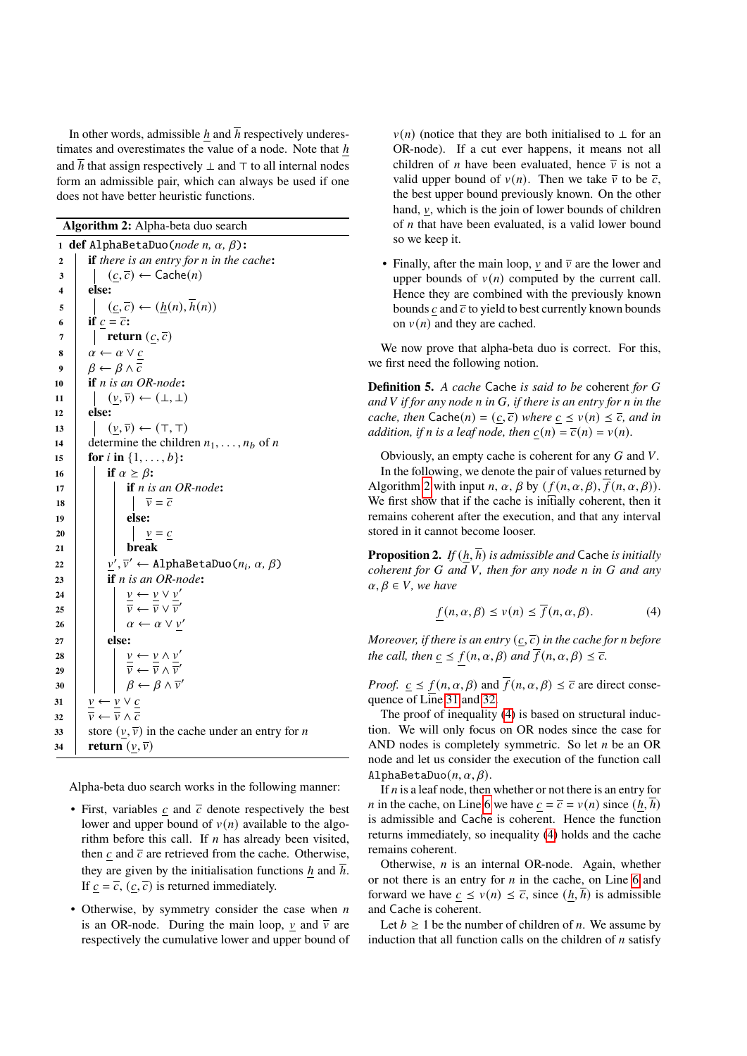In other words, admissible h and  $\overline{h}$  respectively underestimates and overestimates the value of a node. Note that  $h$ and  $\overline{h}$  that assign respectively  $\bot$  and  $\top$  to all internal nodes form an admissible pair, which can always be used if one does not have better heuristic functions.

<span id="page-5-6"></span><span id="page-5-4"></span><span id="page-5-0"></span>**def** AlphaBetaDuo(*node n,*  $\alpha$ *,*  $\beta$ ): **if** *there is an entry for in the cache***:**  $3 \mid (c, \overline{c}) \leftarrow \text{Cache}(n)$ **4 else:**  $\mathfrak{s}$  |  $\left( \underline{c}, \overline{c} \right) \leftarrow (\underline{h}(n), \overline{h}(n))$ **if**  $\underline{c} = \overline{c}$ : **return**  $(\underline{c}, \overline{c})$   $\alpha \leftarrow \alpha \vee c$  $\beta \leftarrow \beta \wedge \overline{c}$  **if** *is an OR-node***:**  $(v, \overline{v}) \leftarrow (\perp, \perp)$ **<sup>12</sup> else:**  $(v, \overline{v}) \leftarrow (\top, \top)$  determine the children  $n_1, \ldots, n_b$  of n **for** *i* **in**  $\{1, \ldots, b\}$ **: if**  $\alpha \geq \beta$ : **if** *is an OR-node***:**  $\overline{v} = \overline{c}$ **<sup>19</sup> else:**  $|$   $|$   $|$   $|$   $v = c$ **<sup>21</sup> break**  $\begin{aligned} \mathbf{p}^2_2 \quad & \mid \quad \mathbf{p}', \overline{\mathbf{v}}' \leftarrow \texttt{AlphaBetaDuo}(n_i, \, \alpha, \, \beta) \end{aligned}$  **if** *n* is an OR-node:  $\vert \vert \vert \nu \leftarrow \nu \vee \nu'$  $25 \parallel \parallel \frac{\overline{v}}{\overline{v}} \leftarrow \frac{\overline{v}}{\overline{v}} \vee \frac{\overline{v}}{\overline{v}}$  $\begin{array}{|c|c|c|c|c|}\n\hline\n\ell & \alpha \leftarrow \alpha \vee v' \n\end{array}$ **<sup>27</sup> else:**  $\vert \cdot \vert$   $v \leftarrow v \wedge v'$  $\begin{array}{|c|c|c|c|}\n\hline\n\overline{v} & \overline{v} & \overline{v} & \wedge \overline{v}'\n\end{array}$  $\beta \leftarrow \beta \wedge \overline{v}'$  $\frac{\nu}{\alpha} \leftarrow \frac{\nu}{\alpha} \vee \frac{c}{\alpha}$   $\frac{\overline{v}}{\overline{v}} \leftarrow \frac{\overline{v}}{\overline{v}} \wedge \overline{c}$  store  $(v, \overline{v})$  in the cache under an entry for *n* **return**  $(\underline{v}, \overline{v})$ 

<span id="page-5-2"></span><span id="page-5-1"></span>Alpha-beta duo search works in the following manner:

- First, variables  $c$  and  $\overline{c}$  denote respectively the best lower and upper bound of  $v(n)$  available to the algorithm before this call. If  $n$  has already been visited, then  $c$  and  $\bar{c}$  are retrieved from the cache. Otherwise, they are given by the initialisation functions h and  $\bar{h}$ . If  $c = \overline{c}$ ,  $(c, \overline{c})$  is returned immediately.
- Otherwise, by symmetry consider the case when  $n$ is an OR-node. During the main loop,  $\nu$  and  $\overline{\nu}$  are respectively the cumulative lower and upper bound of

 $v(n)$  (notice that they are both initialised to  $\perp$  for an OR-node). If a cut ever happens, it means not all children of *n* have been evaluated, hence  $\overline{v}$  is not a valid upper bound of  $v(n)$ . Then we take  $\overline{v}$  to be  $\overline{c}$ , the best upper bound previously known. On the other hand,  $\nu$ , which is the join of lower bounds of children of  $n$  that have been evaluated, is a valid lower bound so we keep it.

• Finally, after the main loop,  $\nu$  and  $\overline{\nu}$  are the lower and upper bounds of  $v(n)$  computed by the current call. Hence they are combined with the previously known bounds  $c$  and  $\overline{c}$  to yield to best currently known bounds on  $v(n)$  and they are cached.

We now prove that alpha-beta duo is correct. For this, we first need the following notion.

**Definition 5.** *A cache* Cache *is said to be* coherent *for and* V if for any node *n* in G, if there is an entry for *n* in the *cache, then*  $\text{Cache}(n) = (c, \overline{c})$  *where*  $\overline{c} \le v(n) \le \overline{c}$ *, and in addition, if n* is a leaf node, then  $c(n) = \overline{c}(n) = v(n)$ .

Obviously, an empty cache is coherent for any  $G$  and  $V$ . In the following, we denote the pair of values returned by Algorithm [2](#page-5-0) with input *n*,  $\alpha$ ,  $\beta$  by ( $f(n, \alpha, \beta)$ ,  $\overline{f}(n, \alpha, \beta)$ ). We first show that if the cache is initially coherent, then it remains coherent after the execution, and that any interval stored in it cannot become looser.

<span id="page-5-5"></span>**Proposition 2.** *If*  $(h, \overline{h})$  *is admissible and* Cache *is initially coherent for G* and *V*, then for any node *n* in *G* and any  $\alpha, \beta \in V$ , we have

<span id="page-5-3"></span>
$$
f(n, \alpha, \beta) \le v(n) \le \overline{f}(n, \alpha, \beta). \tag{4}
$$

*Moreover, if there is an entry*  $(c, \overline{c})$  *in the cache for n before the call, then*  $\underline{c} \leq f(n, \alpha, \beta)$  *and*  $\overline{f}(n, \alpha, \beta) \leq \overline{c}$ *.* 

*Proof.*  $\underline{c} \leq f(n, \alpha, \beta)$  and  $\overline{f}(n, \alpha, \beta) \leq \overline{c}$  are direct consequence of Line [31](#page-5-1) and [32.](#page-5-2)

The proof of inequality [\(4\)](#page-5-3) is based on structural induction. We will only focus on OR nodes since the case for AND nodes is completely symmetric. So let  $n$  be an OR node and let us consider the execution of the function call AlphaBetaDuo $(n, \alpha, \beta)$ .

If  $n$  is a leaf node, then whether or not there is an entry for *n* in the cache, on Line [6](#page-5-4) we have  $c = \overline{c} = v(n)$  since  $(h, \overline{h})$ is admissible and Cache is coherent. Hence the function returns immediately, so inequality [\(4\)](#page-5-3) holds and the cache remains coherent.

Otherwise,  $n$  is an internal OR-node. Again, whether or not there is an entry for  $n$  in the cache, on Line [6](#page-5-4) and forward we have  $\underline{c} \leq v(n) \leq \overline{c}$ , since  $(\underline{h}, h)$  is admissible and Cache is coherent.

Let  $b \ge 1$  be the number of children of *n*. We assume by induction that all function calls on the children of  $n$  satisfy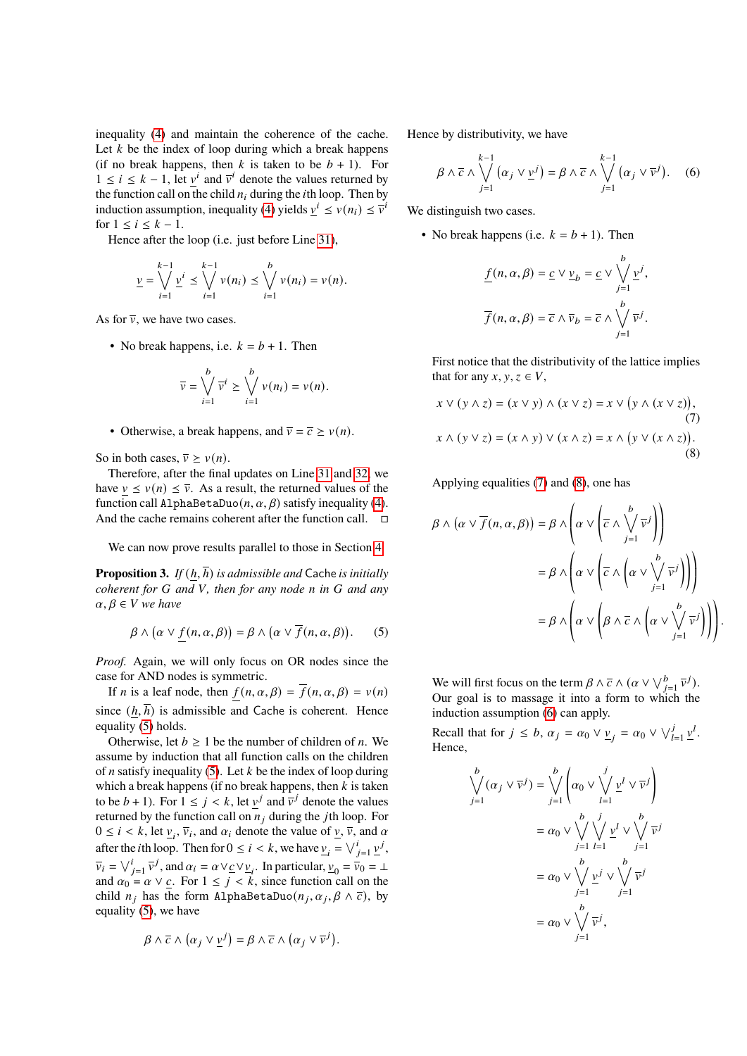inequality [\(4\)](#page-5-3) and maintain the coherence of the cache. Let  $k$  be the index of loop during which a break happens (if no break happens, then k is taken to be  $b + 1$ ). For  $1 \le i \le k - 1$ , let  $\underline{v}^i$  and  $\overline{v}^i$  denote the values returned by the function call on the child  $n_i$  during the *i*th loop. Then by induction assumption, inequality [\(4\)](#page-5-3) yields  $\underline{v}^{i} \le v(n_i) \le \overline{v}^{i}$ for  $1 \leq i \leq k-1$ .

Hence after the loop (i.e. just before Line [31\)](#page-5-1),

$$
\underline{v} = \bigvee_{i=1}^{k-1} \underline{v}^i \le \bigvee_{i=1}^{k-1} v(n_i) \le \bigvee_{i=1}^{b} v(n_i) = v(n).
$$

As for  $\overline{v}$ , we have two cases.

• No break happens, i.e.  $k = b + 1$ . Then

$$
\overline{v} = \bigvee_{i=1}^{b} \overline{v}^{i} \ge \bigvee_{i=1}^{b} v(n_{i}) = v(n).
$$

• Otherwise, a break happens, and  $\overline{v} = \overline{c} \ge v(n)$ .

So in both cases,  $\overline{v} > v(n)$ .

Therefore, after the final updates on Line [31](#page-5-1) and [32,](#page-5-2) we have  $v \le v(n) \le \overline{v}$ . As a result, the returned values of the function call AlphaBetaDuo $(n, \alpha, \beta)$  satisfy inequality [\(4\)](#page-5-3). And the cache remains coherent after the function call.  $\square$ 

We can now prove results parallel to those in Section [4.](#page-2-0)

<span id="page-6-4"></span>**Proposition 3.** *If*  $(h, \overline{h})$  *is admissible and* Cache *is initially coherent for G* and *V*, then for any node *n* in *G* and any  $\alpha, \beta \in V$  we have

<span id="page-6-0"></span>
$$
\beta \wedge (\alpha \vee f(n, \alpha, \beta)) = \beta \wedge (\alpha \vee \overline{f}(n, \alpha, \beta)).
$$
 (5)

*Proof.* Again, we will only focus on OR nodes since the case for AND nodes is symmetric.

If *n* is a leaf node, then  $f(n, \alpha, \beta) = \overline{f}(n, \alpha, \beta) = v(n)$ since  $(h, \overline{h})$  is admissible and Cache is coherent. Hence equality [\(5\)](#page-6-0) holds.

Otherwise, let  $b \ge 1$  be the number of children of *n*. We assume by induction that all function calls on the children of *n* satisfy inequality [\(5\)](#page-6-0). Let  $k$  be the index of loop during which a break happens (if no break happens, then  $k$  is taken to be  $b + 1$ ). For  $1 \le j \le k$ , let  $\underline{v}^j$  and  $\overline{v}^j$  denote the values returned by the function call on  $n_j$  during the jth loop. For  $0 \le i < k$ , let  $\underline{v}_i$ ,  $\overline{v}_i$ , and  $\alpha_i$  denote the value of  $\underline{v}$ ,  $\overline{v}$ , and  $\alpha$ after the *i*th loop. Then for  $0 \le i < k$ , we have  $\underline{v}_i = \bigvee_{j=1}^i \underline{v}^j$ ,  $\overline{v}_i = \bigvee_{j=1}^i \overline{v}^j$ , and  $\alpha_i = \alpha \vee \underline{c} \vee \underline{v}_i$ . In particular,  $\underline{v}_0 = \overline{v}_0 = \bot$ and  $\alpha_0 = \alpha \vee c$ . For  $1 \leq j \leq k$ , since function call on the child  $n_i$  has the form AlphaBetaDuo $(n_i, \alpha_i, \beta \wedge \overline{c})$ , by equality [\(5\)](#page-6-0), we have

$$
\beta \wedge \overline{c} \wedge (\alpha_j \vee \underline{v}^j) = \beta \wedge \overline{c} \wedge (\alpha_j \vee \overline{v}^j).
$$

Hence by distributivity, we have

<span id="page-6-3"></span>
$$
\beta \wedge \overline{c} \wedge \bigvee_{j=1}^{k-1} (\alpha_j \vee \underline{v}^j) = \beta \wedge \overline{c} \wedge \bigvee_{j=1}^{k-1} (\alpha_j \vee \overline{v}^j). \quad (6)
$$

We distinguish two cases.

• No break happens (i.e.  $k = b + 1$ ). Then

$$
\underline{f}(n, \alpha, \beta) = \underline{c} \vee \underline{v}_b = \underline{c} \vee \bigvee_{j=1}^b \underline{v}^j,
$$

$$
\overline{f}(n, \alpha, \beta) = \overline{c} \wedge \overline{v}_b = \overline{c} \wedge \bigvee_{j=1}^b \overline{v}^j.
$$

First notice that the distributivity of the lattice implies that for any  $x, y, z \in V$ ,

$$
x \lor (y \land z) = (x \lor y) \land (x \lor z) = x \lor (y \land (x \lor z)),
$$
  
(7)  

$$
x \land (y \lor z) = (x \land y) \lor (x \land z) = x \land (y \lor (x \land z)).
$$
  
(8)

Applying equalities [\(7\)](#page-6-1) and [\(8\)](#page-6-2), one has

$$
\beta \wedge (\alpha \vee \overline{f}(n, \alpha, \beta)) = \beta \wedge \left( \alpha \vee \left( \overline{c} \wedge \bigvee_{j=1}^{b} \overline{v}^{j} \right) \right)
$$

$$
= \beta \wedge \left( \alpha \vee \left( \overline{c} \wedge \left( \alpha \vee \bigvee_{j=1}^{b} \overline{v}^{j} \right) \right) \right)
$$

$$
= \beta \wedge \left( \alpha \vee \left( \beta \wedge \overline{c} \wedge \left( \alpha \vee \bigvee_{j=1}^{b} \overline{v}^{j} \right) \right) \right)
$$

<span id="page-6-2"></span><span id="page-6-1"></span>.

We will first focus on the term  $\beta \wedge \overline{c} \wedge (\alpha \vee \vee_{j=1}^b \overline{v}^j)$ . Our goal is to massage it into a form to which the induction assumption [\(6\)](#page-6-3) can apply.

Recall that for  $j \leq b$ ,  $\alpha_j = \alpha_0 \vee \underline{\nu}_j = \alpha_0 \vee \sqrt{\frac{j}{l-1} \underline{\nu}^l}$ . Hence,

$$
\bigvee_{j=1}^{b} (\alpha_j \vee \overline{v}^j) = \bigvee_{j=1}^{b} \left( \alpha_0 \vee \bigvee_{l=1}^{j} \underline{v}^l \vee \overline{v}^j \right)
$$

$$
= \alpha_0 \vee \bigvee_{j=1}^{b} \bigvee_{l=1}^{j} \underline{v}^l \vee \bigvee_{j=1}^{b} \overline{v}^j
$$

$$
= \alpha_0 \vee \bigvee_{j=1}^{b} \underline{v}^j \vee \bigvee_{j=1}^{b} \overline{v}^j
$$

$$
= \alpha_0 \vee \bigvee_{j=1}^{b} \underline{v}^j, \bigvee_{j=1}^{b}
$$

$$
= \alpha_0 \vee \bigvee_{j=1}^{b} \overline{v}^j,
$$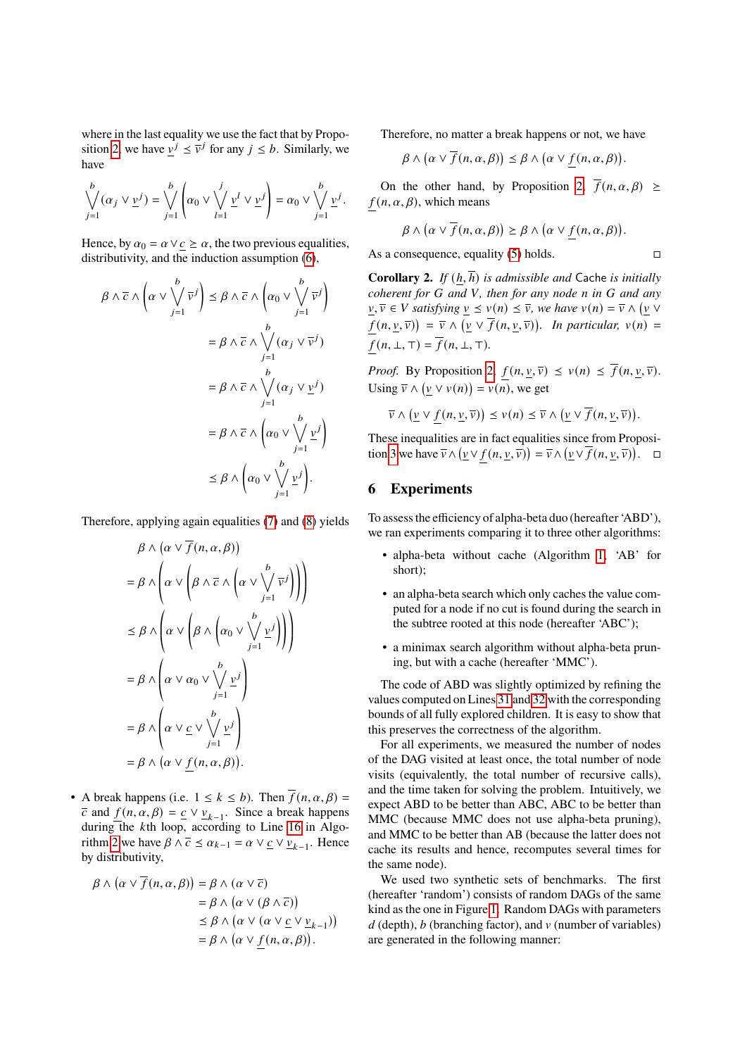where in the last equality we use the fact that by Propo-sition [2,](#page-5-5) we have  $v^j \le \overline{v}^j$  for any  $j \le b$ . Similarly, we have

$$
\bigvee_{j=1}^b (\alpha_j \vee \underline{v}^j) = \bigvee_{j=1}^b \left( \alpha_0 \vee \bigvee_{l=1}^j \underline{v}^l \vee \underline{v}^j \right) = \alpha_0 \vee \bigvee_{j=1}^b \underline{v}^j.
$$

Hence, by  $\alpha_0 = \alpha \vee c \ge \alpha$ , the two previous equalities, distributivity, and the induction assumption [\(6\)](#page-6-3),

$$
\beta \wedge \overline{c} \wedge \left(\alpha \vee \bigvee_{j=1}^{b} \overline{v}^{j}\right) \leq \beta \wedge \overline{c} \wedge \left(\alpha_{0} \vee \bigvee_{j=1}^{b} \overline{v}^{j}\right)
$$
\n
$$
= \beta \wedge \overline{c} \wedge \bigvee_{j=1}^{b} (\alpha_{j} \vee \overline{v}^{j})
$$
\n
$$
= \beta \wedge \overline{c} \wedge \bigvee_{j=1}^{b} (\alpha_{j} \vee \underline{v}^{j})
$$
\n
$$
= \beta \wedge \overline{c} \wedge \left(\alpha_{0} \vee \bigvee_{j=1}^{b} \underline{v}^{j}\right)
$$
\n
$$
\leq \beta \wedge \left(\alpha_{0} \vee \bigvee_{j=1}^{b} \underline{v}^{j}\right).
$$

Therefore, applying again equalities [\(7\)](#page-6-1) and [\(8\)](#page-6-2) yields

$$
\beta \wedge (\alpha \vee \overline{f}(n, \alpha, \beta))
$$
\n
$$
= \beta \wedge \left( \alpha \vee \left( \beta \wedge \overline{c} \wedge \left( \alpha \vee \bigvee_{j=1}^{b} \overline{v}^{j} \right) \right) \right)
$$
\n
$$
\leq \beta \wedge \left( \alpha \vee \left( \beta \wedge \left( \alpha_{0} \vee \bigvee_{j=1}^{b} \underline{v}^{j} \right) \right) \right)
$$
\n
$$
= \beta \wedge \left( \alpha \vee \alpha_{0} \vee \bigvee_{j=1}^{b} \underline{v}^{j} \right)
$$
\n
$$
= \beta \wedge \left( \alpha \vee \underline{c} \vee \bigvee_{j=1}^{b} \underline{v}^{j} \right)
$$
\n
$$
= \beta \wedge (\alpha \vee f(n, \alpha, \beta)).
$$

• A break happens (i.e.  $1 \le k \le b$ ). Then  $\overline{f}(n, \alpha, \beta) =$  $\overline{c}$  and  $\underline{f}(n, \alpha, \beta) = \underline{c} \vee \underline{v}_{k-1}$ . Since a break happens during the kth loop, according to Line [16](#page-5-6) in Algo-rithm [2](#page-5-0) we have  $\beta \wedge \overline{c} \le \alpha_{k-1} = \alpha \vee \underline{c} \vee \underline{v}_{k-1}$ . Hence by distributivity,

$$
\beta \land (\alpha \lor \overline{f}(n, \alpha, \beta)) = \beta \land (\alpha \lor \overline{c})
$$
  
=  $\beta \land (\alpha \lor (\beta \land \overline{c}))$   
 $\leq \beta \land (\alpha \lor (\alpha \lor \underline{c} \lor \underline{v}_{k-1}))$   
=  $\beta \land (\alpha \lor f(n, \alpha, \beta)).$ 

Therefore, no matter a break happens or not, we have

$$
\beta \wedge (\alpha \vee \overline{f}(n, \alpha, \beta)) \leq \beta \wedge (\alpha \vee \underline{f}(n, \alpha, \beta)).
$$

On the other hand, by Proposition [2,](#page-5-5)  $\overline{f}(n, \alpha, \beta) \geq$  $f(n, \alpha, \beta)$ , which means

$$
\beta \wedge (\alpha \vee \overline{f}(n, \alpha, \beta)) \geq \beta \wedge (\alpha \vee f(n, \alpha, \beta)).
$$

As a consequence, equality [\(5\)](#page-6-0) holds.  $□$ 

**Corollary 2.** *If* (ℎ, ℎ) *is admissible and* Cache *is initially coherent for* G and V, then for any node n in G and any  $\underline{v}, \overline{v} \in V$  satisfying  $\underline{v} \le v(n) \le \overline{v}$ , we have  $v(n) = \overline{v} \wedge ( \underline{v} \vee \overline{v})$  $f(n, \underline{v}, \overline{v}) = \overline{v} \wedge (\underline{v} \vee \overline{f}(n, \underline{v}, \overline{v}))$ . In particular,  $v(n) =$  $f(n, \perp, \perp) = \overline{f}(n, \perp, \perp).$ 

*Proof.* By Proposition [2,](#page-5-5)  $\underline{f}(n, \underline{v}, \overline{v}) \le v(n) \le \overline{f}(n, \underline{v}, \overline{v}).$ Using  $\overline{v} \wedge (\underline{v} \vee v(n)) = v(n)$ , we get

$$
\overline{v} \wedge (\underline{v} \vee \underline{f}(n, \underline{v}, \overline{v})) \leq v(n) \leq \overline{v} \wedge (\underline{v} \vee \overline{f}(n, \underline{v}, \overline{v})).
$$

These inequalities are in fact equalities since from Proposi-tion [3](#page-6-4) we have  $\overline{v} \wedge (\underline{v} \vee f(n, \underline{v}, \overline{v})) = \overline{v} \wedge (\underline{v} \vee \overline{f}(n, \underline{v}, \overline{v}))$ .  $\Box$ 

# <span id="page-7-0"></span>**6 Experiments**

To assess the efficiency of alpha-beta duo (hereafter 'ABD'), we ran experiments comparing it to three other algorithms:

- alpha-beta without cache (Algorithm [1,](#page-3-0) 'AB' for short);
- an alpha-beta search which only caches the value computed for a node if no cut is found during the search in the subtree rooted at this node (hereafter 'ABC');
- a minimax search algorithm without alpha-beta pruning, but with a cache (hereafter 'MMC').

The code of ABD was slightly optimized by refining the values computed on Lines [31](#page-5-1) and [32](#page-5-2) with the corresponding bounds of all fully explored children. It is easy to show that this preserves the correctness of the algorithm.

For all experiments, we measured the number of nodes of the DAG visited at least once, the total number of node visits (equivalently, the total number of recursive calls), and the time taken for solving the problem. Intuitively, we expect ABD to be better than ABC, ABC to be better than MMC (because MMC does not use alpha-beta pruning), and MMC to be better than AB (because the latter does not cache its results and hence, recomputes several times for the same node).

We used two synthetic sets of benchmarks. The first (hereafter 'random') consists of random DAGs of the same kind as the one in Figure [1.](#page-2-1) Random DAGs with parameters  $d$  (depth),  $b$  (branching factor), and  $v$  (number of variables) are generated in the following manner: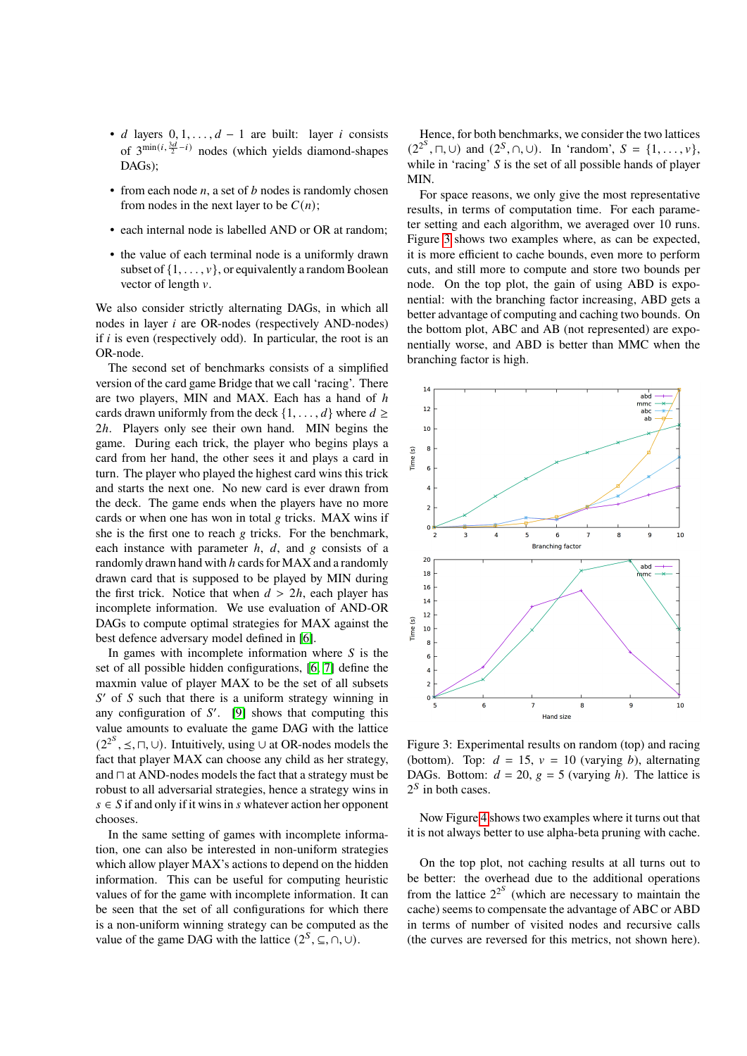- $d$  layers  $0, 1, \ldots, d 1$  are built: layer  $i$  consists of  $3^{\min(i, \frac{3d}{2} - i)}$  nodes (which yields diamond-shapes DAGs);
- from each node  $n$ , a set of  $b$  nodes is randomly chosen from nodes in the next layer to be  $C(n)$ ;
- each internal node is labelled AND or OR at random;
- the value of each terminal node is a uniformly drawn subset of  $\{1, \ldots, v\}$ , or equivalently a random Boolean vector of length  $v$ .

We also consider strictly alternating DAGs, in which all nodes in layer  $i$  are OR-nodes (respectively AND-nodes) if  $i$  is even (respectively odd). In particular, the root is an OR-node.

The second set of benchmarks consists of a simplified version of the card game Bridge that we call 'racing'. There are two players, MIN and MAX. Each has a hand of h cards drawn uniformly from the deck  $\{1, \ldots, d\}$  where  $d \ge$ 2h. Players only see their own hand. MIN begins the game. During each trick, the player who begins plays a card from her hand, the other sees it and plays a card in turn. The player who played the highest card wins this trick and starts the next one. No new card is ever drawn from the deck. The game ends when the players have no more cards or when one has won in total  $g$  tricks. MAX wins if she is the first one to reach  $g$  tricks. For the benchmark, each instance with parameter  $h$ ,  $d$ , and  $g$  consists of a randomly drawn hand with  $h$  cards for MAX and a randomly drawn card that is supposed to be played by MIN during the first trick. Notice that when  $d > 2h$ , each player has incomplete information. We use evaluation of AND-OR DAGs to compute optimal strategies for MAX against the best defence adversary model defined in [\[6\]](#page-9-5).

In games with incomplete information where  $S$  is the set of all possible hidden configurations, [\[6,](#page-9-5) [7\]](#page-9-6) define the maxmin value of player MAX to be the set of all subsets  $S'$  of  $S$  such that there is a uniform strategy winning in any configuration of  $S'$ . [\[9\]](#page-10-7) shows that computing this value amounts to evaluate the game DAG with the lattice  $(2^{2^S}, \leq, \sqcap, \cup)$ . Intuitively, using ∪ at OR-nodes models the fact that player MAX can choose any child as her strategy, and ⊓ at AND-nodes models the fact that a strategy must be robust to all adversarial strategies, hence a strategy wins in  $s \in S$  if and only if it wins in s whatever action her opponent chooses.

In the same setting of games with incomplete information, one can also be interested in non-uniform strategies which allow player MAX's actions to depend on the hidden information. This can be useful for computing heuristic values of for the game with incomplete information. It can be seen that the set of all configurations for which there is a non-uniform winning strategy can be computed as the value of the game DAG with the lattice  $(2^S, \subseteq, \cap, \cup)$ .

Hence, for both benchmarks, we consider the two lattices  $(2^{2^S}, \sqcap, \cup)$  and  $(2^S, \cap, \cup)$ . In 'random',  $S = \{1, ..., v\}$ , while in 'racing'  $S$  is the set of all possible hands of player MIN.

For space reasons, we only give the most representative results, in terms of computation time. For each parameter setting and each algorithm, we averaged over 10 runs. Figure [3](#page-8-0) shows two examples where, as can be expected, it is more efficient to cache bounds, even more to perform cuts, and still more to compute and store two bounds per node. On the top plot, the gain of using ABD is exponential: with the branching factor increasing, ABD gets a better advantage of computing and caching two bounds. On the bottom plot, ABC and AB (not represented) are exponentially worse, and ABD is better than MMC when the branching factor is high.



<span id="page-8-0"></span>Figure 3: Experimental results on random (top) and racing (bottom). Top:  $d = 15$ ,  $v = 10$  (varying b), alternating DAGs. Bottom:  $d = 20$ ,  $g = 5$  (varying h). The lattice is  $2^S$  in both cases.

Now Figure [4](#page-9-7) shows two examples where it turns out that it is not always better to use alpha-beta pruning with cache.

On the top plot, not caching results at all turns out to be better: the overhead due to the additional operations from the lattice  $2^{2^S}$  (which are necessary to maintain the cache) seems to compensate the advantage of ABC or ABD in terms of number of visited nodes and recursive calls (the curves are reversed for this metrics, not shown here).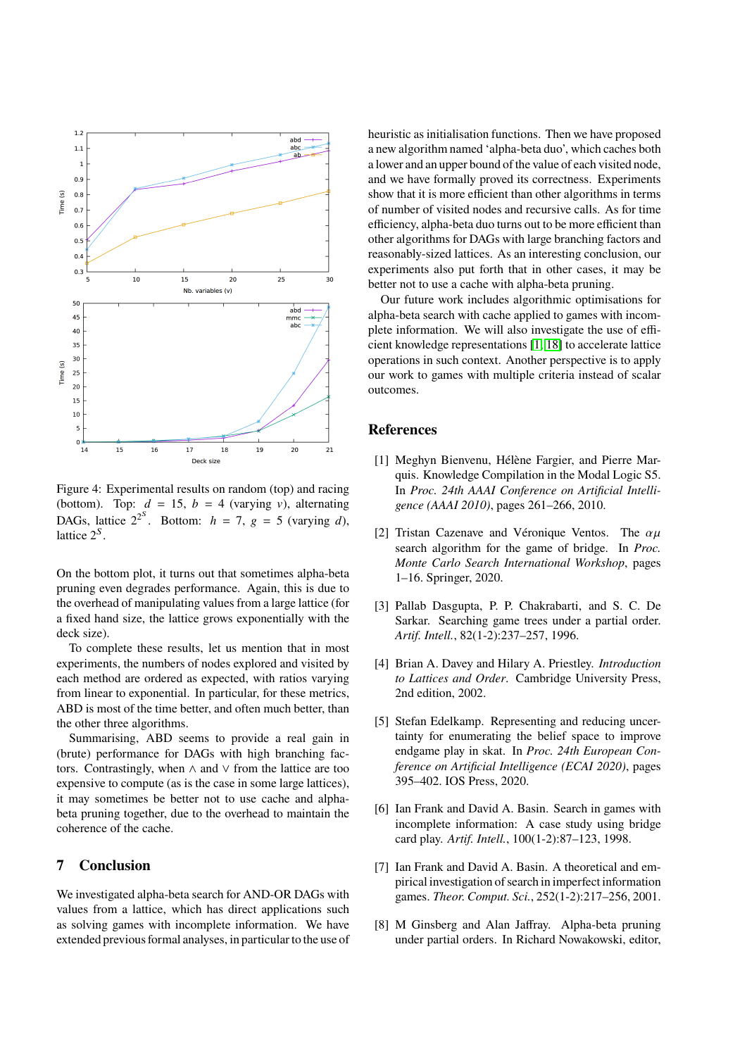

<span id="page-9-7"></span>Figure 4: Experimental results on random (top) and racing (bottom). Top:  $d = 15$ ,  $b = 4$  (varying v), alternating DAGs, lattice  $2^{2^s}$ . Bottom:  $h = 7$ ,  $g = 5$  (varying d), lattice  $2^S$ .

On the bottom plot, it turns out that sometimes alpha-beta pruning even degrades performance. Again, this is due to the overhead of manipulating values from a large lattice (for a fixed hand size, the lattice grows exponentially with the deck size).

To complete these results, let us mention that in most experiments, the numbers of nodes explored and visited by each method are ordered as expected, with ratios varying from linear to exponential. In particular, for these metrics, ABD is most of the time better, and often much better, than the other three algorithms.

Summarising, ABD seems to provide a real gain in (brute) performance for DAGs with high branching factors. Contrastingly, when ∧ and ∨ from the lattice are too expensive to compute (as is the case in some large lattices), it may sometimes be better not to use cache and alphabeta pruning together, due to the overhead to maintain the coherence of the cache.

# **7 Conclusion**

We investigated alpha-beta search for AND-OR DAGs with values from a lattice, which has direct applications such as solving games with incomplete information. We have extended previous formal analyses, in particular to the use of

heuristic as initialisation functions. Then we have proposed a new algorithm named 'alpha-beta duo', which caches both a lower and an upper bound of the value of each visited node, and we have formally proved its correctness. Experiments show that it is more efficient than other algorithms in terms of number of visited nodes and recursive calls. As for time efficiency, alpha-beta duo turns out to be more efficient than other algorithms for DAGs with large branching factors and reasonably-sized lattices. As an interesting conclusion, our experiments also put forth that in other cases, it may be better not to use a cache with alpha-beta pruning.

Our future work includes algorithmic optimisations for alpha-beta search with cache applied to games with incomplete information. We will also investigate the use of efficient knowledge representations [\[1,](#page-9-8) [18\]](#page-10-13) to accelerate lattice operations in such context. Another perspective is to apply our work to games with multiple criteria instead of scalar outcomes.

# **References**

- <span id="page-9-8"></span>[1] Meghyn Bienvenu, Hélène Fargier, and Pierre Marquis. Knowledge Compilation in the Modal Logic S5. In *Proc. 24th AAAI Conference on Artificial Intelligence (AAAI 2010)*, pages 261–266, 2010.
- <span id="page-9-2"></span>[2] Tristan Cazenave and Véronique Ventos. The  $\alpha\mu$ search algorithm for the game of bridge. In *Proc. Monte Carlo Search International Workshop*, pages 1–16. Springer, 2020.
- <span id="page-9-4"></span>[3] Pallab Dasgupta, P. P. Chakrabarti, and S. C. De Sarkar. Searching game trees under a partial order. *Artif. Intell.*, 82(1-2):237–257, 1996.
- <span id="page-9-3"></span>[4] Brian A. Davey and Hilary A. Priestley. *Introduction to Lattices and Order*. Cambridge University Press, 2nd edition, 2002.
- <span id="page-9-1"></span>[5] Stefan Edelkamp. Representing and reducing uncertainty for enumerating the belief space to improve endgame play in skat. In *Proc. 24th European Conference on Artificial Intelligence (ECAI 2020)*, pages 395–402. IOS Press, 2020.
- <span id="page-9-5"></span>[6] Ian Frank and David A. Basin. Search in games with incomplete information: A case study using bridge card play. *Artif. Intell.*, 100(1-2):87–123, 1998.
- <span id="page-9-6"></span>[7] Ian Frank and David A. Basin. A theoretical and empirical investigation of search in imperfect information games. *Theor. Comput. Sci.*, 252(1-2):217–256, 2001.
- <span id="page-9-0"></span>[8] M Ginsberg and Alan Jaffray. Alpha-beta pruning under partial orders. In Richard Nowakowski, editor,